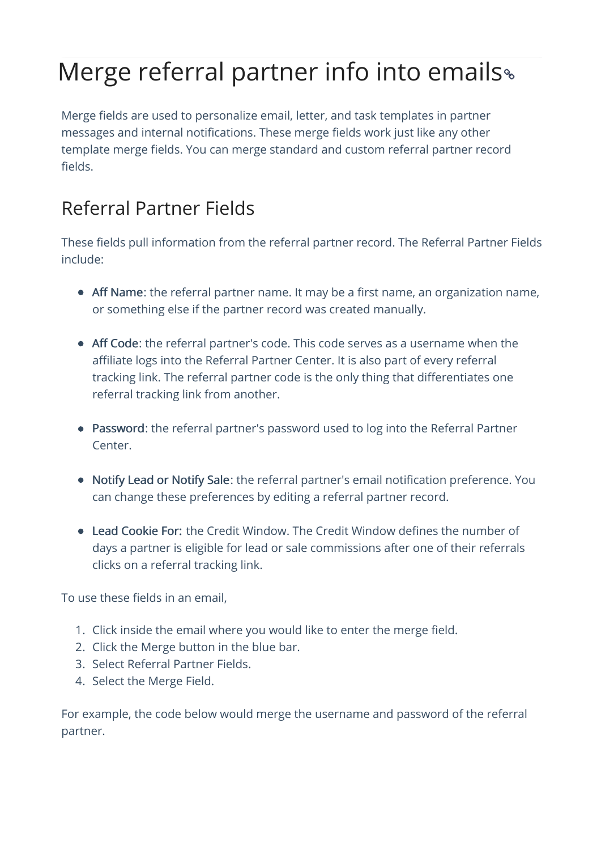## Merge referral partner info into emails

Merge fields are used to personalize email, letter, and task templates in partner messages and internal notifications. These merge fields work just like any other template merge fields. You can merge standard and custom referral partner record fields.

## Referral Partner Fields

These fields pull information from the referral partner record. The Referral Partner Fields include:

- Aff Name: the referral partner name. It may be a first name, an organization name, or something else if the partner record was created manually.
- Aff Code: the referral partner's code. This code serves as a username when the affiliate logs into the Referral Partner Center. It is also part of every referral tracking link. The referral partner code is the only thing that differentiates one referral tracking link from another.
- Password: the referral partner's password used to log into the Referral Partner Center.
- Notify Lead or Notify Sale: the referral partner's email notification preference. You can change these preferences by editing a referral partner record.
- Lead Cookie For: the Credit Window. The Credit Window defines the number of days a partner is eligible for lead or sale commissions after one of their referrals clicks on a referral tracking link.

To use these fields in an email,

- 1. Click inside the email where you would like to enter the merge field.
- 2. Click the Merge button in the blue bar.
- 3. Select Referral Partner Fields.
- 4. Select the Merge Field.

For example, the code below would merge the username and password of the referral partner.